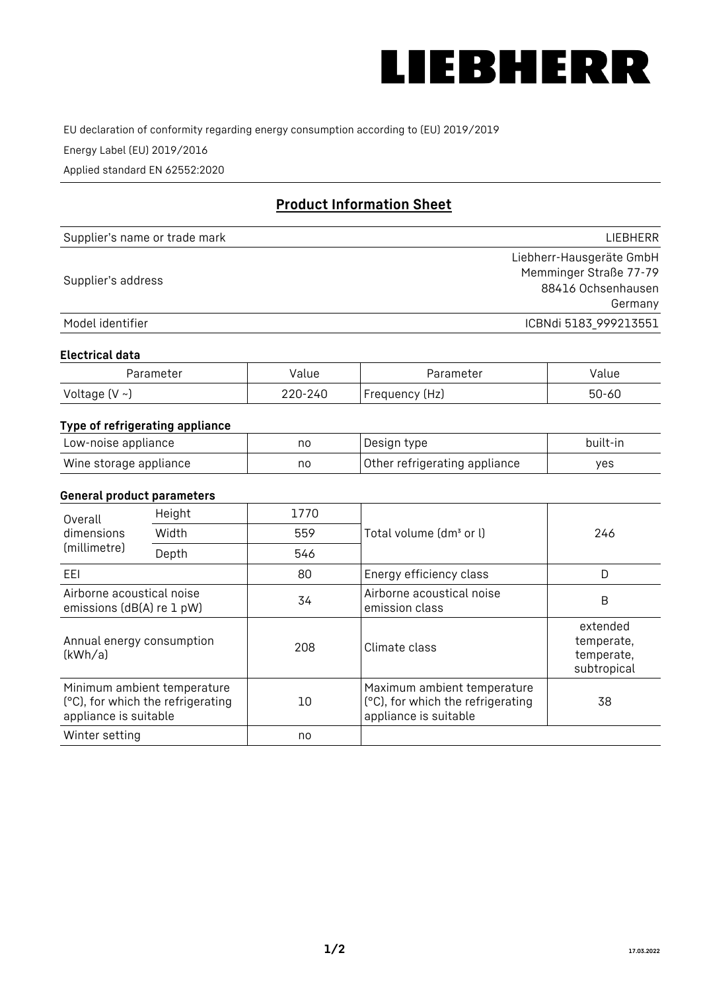

EU declaration of conformity regarding energy consumption according to (EU) 2019/2019

Energy Label (EU) 2019/2016

Applied standard EN 62552:2020

# **Product Information Sheet**

| Supplier's name or trade mark | <b>LIFBHFRR</b>          |
|-------------------------------|--------------------------|
|                               | Liebherr-Hausgeräte GmbH |
| Supplier's address            | Memminger Straße 77-79   |
|                               | 88416 Ochsenhausen       |
|                               | Germany                  |
| Model identifier              | ICBNdi 5183 999213551    |

#### **Electrical data**

| Parameter          | Value   | Parameter      | Value |
|--------------------|---------|----------------|-------|
| Voltage $(V \sim)$ | 220-240 | Frequency (Hz) | 50-60 |

## **Type of refrigerating appliance**

| Low-noise appliance    | no | Design type                   | built-in |
|------------------------|----|-------------------------------|----------|
| Wine storage appliance | no | Other refrigerating appliance | ves      |

#### **General product parameters**

| Overall<br>dimensions<br>Width<br>(millimetre)<br>Depth | Height                                                           | 1770 |                                                                                           | 246                                                 |
|---------------------------------------------------------|------------------------------------------------------------------|------|-------------------------------------------------------------------------------------------|-----------------------------------------------------|
|                                                         |                                                                  | 559  | Total volume (dm <sup>3</sup> or l)                                                       |                                                     |
|                                                         |                                                                  | 546  |                                                                                           |                                                     |
| EEL                                                     |                                                                  | 80   | Energy efficiency class                                                                   | D                                                   |
| Airborne acoustical noise<br>emissions (dB(A) re 1 pW)  |                                                                  | 34   | Airborne acoustical noise<br>emission class                                               | B                                                   |
| Annual energy consumption<br>(kWh/a)                    |                                                                  | 208  | Climate class                                                                             | extended<br>temperate,<br>temperate,<br>subtropical |
| appliance is suitable                                   | Minimum ambient temperature<br>(°C), for which the refrigerating | 10   | Maximum ambient temperature<br>(°C), for which the refrigerating<br>appliance is suitable | 38                                                  |
| Winter setting                                          |                                                                  | no   |                                                                                           |                                                     |